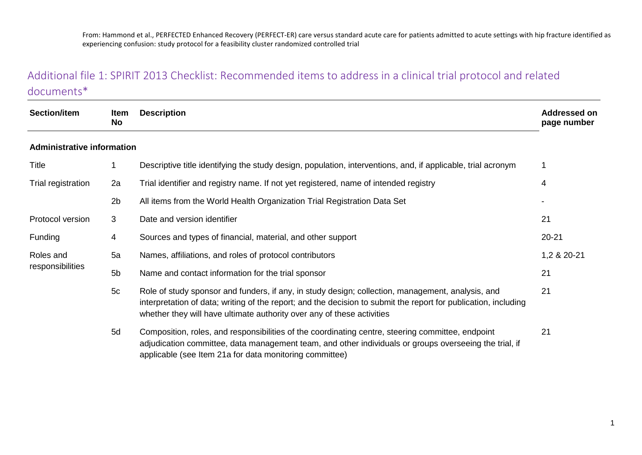# Additional file 1: SPIRIT 2013 Checklist: Recommended items to address in a clinical trial protocol and related documents\*

| <b>Section/item</b>               | <b>Item</b><br>No | <b>Description</b>                                                                                                                                                                                                                                                                             | <b>Addressed on</b><br>page number |
|-----------------------------------|-------------------|------------------------------------------------------------------------------------------------------------------------------------------------------------------------------------------------------------------------------------------------------------------------------------------------|------------------------------------|
| <b>Administrative information</b> |                   |                                                                                                                                                                                                                                                                                                |                                    |
| Title                             |                   | Descriptive title identifying the study design, population, interventions, and, if applicable, trial acronym                                                                                                                                                                                   | 1                                  |
| Trial registration                | 2a                | Trial identifier and registry name. If not yet registered, name of intended registry                                                                                                                                                                                                           | 4                                  |
|                                   | 2 <sub>b</sub>    | All items from the World Health Organization Trial Registration Data Set                                                                                                                                                                                                                       |                                    |
| Protocol version                  | 3                 | Date and version identifier                                                                                                                                                                                                                                                                    | 21                                 |
| <b>Funding</b>                    | $\overline{4}$    | Sources and types of financial, material, and other support                                                                                                                                                                                                                                    | $20 - 21$                          |
| Roles and                         | 5a                | Names, affiliations, and roles of protocol contributors                                                                                                                                                                                                                                        | 1,2 & 20-21                        |
| responsibilities                  | 5 <sub>b</sub>    | Name and contact information for the trial sponsor                                                                                                                                                                                                                                             | 21                                 |
|                                   | 5c                | Role of study sponsor and funders, if any, in study design; collection, management, analysis, and<br>interpretation of data; writing of the report; and the decision to submit the report for publication, including<br>whether they will have ultimate authority over any of these activities | 21                                 |
|                                   | 5d                | Composition, roles, and responsibilities of the coordinating centre, steering committee, endpoint<br>adjudication committee, data management team, and other individuals or groups overseeing the trial, if<br>applicable (see Item 21a for data monitoring committee)                         | 21                                 |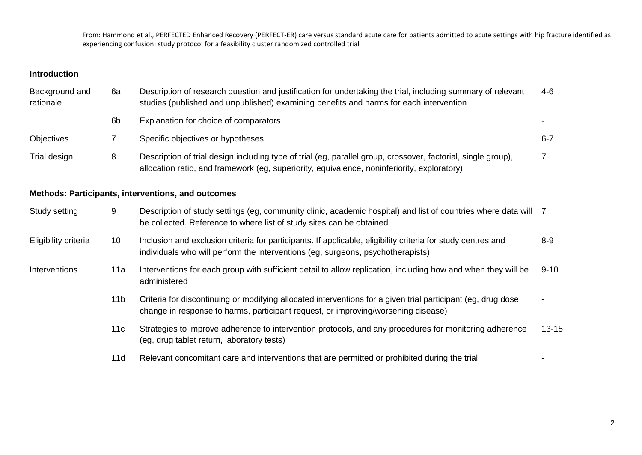### **Introduction**

| Background and<br>rationale | 6a             | Description of research question and justification for undertaking the trial, including summary of relevant<br>studies (published and unpublished) examining benefits and harms for each intervention        | 4-6     |
|-----------------------------|----------------|--------------------------------------------------------------------------------------------------------------------------------------------------------------------------------------------------------------|---------|
|                             | 6 <sub>b</sub> | Explanation for choice of comparators                                                                                                                                                                        |         |
| <b>Objectives</b>           |                | Specific objectives or hypotheses                                                                                                                                                                            | $6 - 7$ |
| Trial design                | 8              | Description of trial design including type of trial (eg, parallel group, crossover, factorial, single group),<br>allocation ratio, and framework (eg, superiority, equivalence, noninferiority, exploratory) |         |
|                             |                | Methods: Particinants interventions and outcomes                                                                                                                                                             |         |

#### **Methods: Participants, interventions, and outcomes**

| Study setting        | 9               | Description of study settings (eg, community clinic, academic hospital) and list of countries where data will 7<br>be collected. Reference to where list of study sites can be obtained           |           |
|----------------------|-----------------|---------------------------------------------------------------------------------------------------------------------------------------------------------------------------------------------------|-----------|
| Eligibility criteria | 10 <sup>°</sup> | Inclusion and exclusion criteria for participants. If applicable, eligibility criteria for study centres and<br>individuals who will perform the interventions (eq. surgeons, psychotherapists)   | $8 - 9$   |
| Interventions        | 11a             | Interventions for each group with sufficient detail to allow replication, including how and when they will be<br>administered                                                                     | $9 - 10$  |
|                      | 11b             | Criteria for discontinuing or modifying allocated interventions for a given trial participant (eg, drug dose<br>change in response to harms, participant request, or improving/worsening disease) |           |
|                      | 11c             | Strategies to improve adherence to intervention protocols, and any procedures for monitoring adherence<br>(eg, drug tablet return, laboratory tests)                                              | $13 - 15$ |
|                      | 11d             | Relevant concomitant care and interventions that are permitted or prohibited during the trial                                                                                                     |           |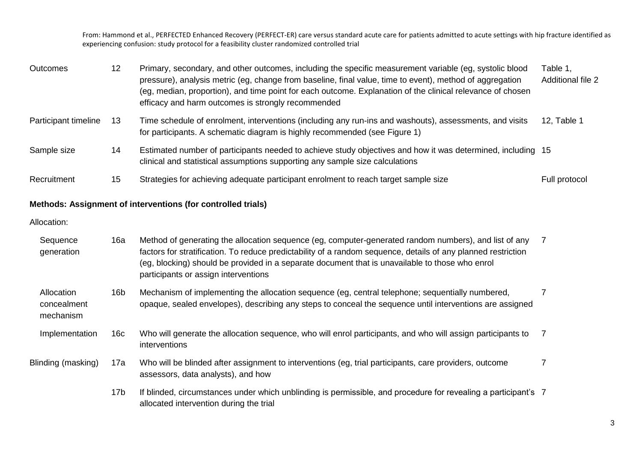| <b>Outcomes</b>      | 12 | Primary, secondary, and other outcomes, including the specific measurement variable (eg, systolic blood<br>pressure), analysis metric (eg, change from baseline, final value, time to event), method of aggregation<br>(eg, median, proportion), and time point for each outcome. Explanation of the clinical relevance of chosen<br>efficacy and harm outcomes is strongly recommended | Table 1,<br><b>Additional file 2</b> |
|----------------------|----|-----------------------------------------------------------------------------------------------------------------------------------------------------------------------------------------------------------------------------------------------------------------------------------------------------------------------------------------------------------------------------------------|--------------------------------------|
| Participant timeline | 13 | Time schedule of enrolment, interventions (including any run-ins and washouts), assessments, and visits<br>for participants. A schematic diagram is highly recommended (see Figure 1)                                                                                                                                                                                                   | 12, Table 1                          |
| Sample size          | 14 | Estimated number of participants needed to achieve study objectives and how it was determined, including 15<br>clinical and statistical assumptions supporting any sample size calculations                                                                                                                                                                                             |                                      |
| Recruitment          | 15 | Strategies for achieving adequate participant enrolment to reach target sample size                                                                                                                                                                                                                                                                                                     | Full protocol                        |

#### **Methods: Assignment of interventions (for controlled trials)**

#### Allocation:

| Sequence<br>generation                 | 16a             | Method of generating the allocation sequence (eg, computer-generated random numbers), and list of any<br>factors for stratification. To reduce predictability of a random sequence, details of any planned restriction<br>(eg, blocking) should be provided in a separate document that is unavailable to those who enrol<br>participants or assign interventions |  |
|----------------------------------------|-----------------|-------------------------------------------------------------------------------------------------------------------------------------------------------------------------------------------------------------------------------------------------------------------------------------------------------------------------------------------------------------------|--|
| Allocation<br>concealment<br>mechanism | 16 <sub>b</sub> | Mechanism of implementing the allocation sequence (eg, central telephone; sequentially numbered,<br>opaque, sealed envelopes), describing any steps to conceal the sequence until interventions are assigned                                                                                                                                                      |  |
| Implementation                         | 16c             | Who will generate the allocation sequence, who will enrol participants, and who will assign participants to<br>interventions                                                                                                                                                                                                                                      |  |
| Blinding (masking)                     | 17a             | Who will be blinded after assignment to interventions (eg, trial participants, care providers, outcome<br>assessors, data analysts), and how                                                                                                                                                                                                                      |  |
|                                        | 17 <sub>b</sub> | If blinded, circumstances under which unblinding is permissible, and procedure for revealing a participant's 7<br>allocated intervention during the trial                                                                                                                                                                                                         |  |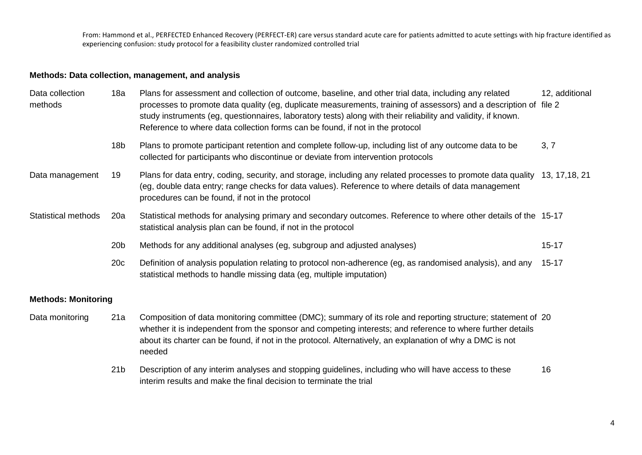## **Methods: Data collection, management, and analysis**

| Data collection<br>methods | 18a                        | Plans for assessment and collection of outcome, baseline, and other trial data, including any related<br>processes to promote data quality (eg, duplicate measurements, training of assessors) and a description of file 2<br>study instruments (eg, questionnaires, laboratory tests) along with their reliability and validity, if known.<br>Reference to where data collection forms can be found, if not in the protocol | 12, additional                                                                                                                                                                                                                                                                                                                                    |           |
|----------------------------|----------------------------|------------------------------------------------------------------------------------------------------------------------------------------------------------------------------------------------------------------------------------------------------------------------------------------------------------------------------------------------------------------------------------------------------------------------------|---------------------------------------------------------------------------------------------------------------------------------------------------------------------------------------------------------------------------------------------------------------------------------------------------------------------------------------------------|-----------|
|                            |                            | 18 <sub>b</sub>                                                                                                                                                                                                                                                                                                                                                                                                              | Plans to promote participant retention and complete follow-up, including list of any outcome data to be<br>collected for participants who discontinue or deviate from intervention protocols                                                                                                                                                      | 3, 7      |
|                            | Data management            | 19                                                                                                                                                                                                                                                                                                                                                                                                                           | Plans for data entry, coding, security, and storage, including any related processes to promote data quality 13, 17,18, 21<br>(eg, double data entry; range checks for data values). Reference to where details of data management<br>procedures can be found, if not in the protocol                                                             |           |
|                            | <b>Statistical methods</b> | 20a                                                                                                                                                                                                                                                                                                                                                                                                                          | Statistical methods for analysing primary and secondary outcomes. Reference to where other details of the 15-17<br>statistical analysis plan can be found, if not in the protocol                                                                                                                                                                 |           |
|                            |                            | 20 <sub>b</sub>                                                                                                                                                                                                                                                                                                                                                                                                              | Methods for any additional analyses (eg, subgroup and adjusted analyses)                                                                                                                                                                                                                                                                          | $15 - 17$ |
|                            |                            | 20c                                                                                                                                                                                                                                                                                                                                                                                                                          | Definition of analysis population relating to protocol non-adherence (eg, as randomised analysis), and any<br>statistical methods to handle missing data (eg, multiple imputation)                                                                                                                                                                | $15 - 17$ |
|                            | <b>Methods: Monitoring</b> |                                                                                                                                                                                                                                                                                                                                                                                                                              |                                                                                                                                                                                                                                                                                                                                                   |           |
|                            | Data monitoring            | 21a                                                                                                                                                                                                                                                                                                                                                                                                                          | Composition of data monitoring committee (DMC); summary of its role and reporting structure; statement of 20<br>whether it is independent from the sponsor and competing interests; and reference to where further details<br>about its charter can be found, if not in the protocol. Alternatively, an explanation of why a DMC is not<br>needed |           |
|                            |                            |                                                                                                                                                                                                                                                                                                                                                                                                                              |                                                                                                                                                                                                                                                                                                                                                   |           |

21b Description of any interim analyses and stopping guidelines, including who will have access to these interim results and make the final decision to terminate the trial 16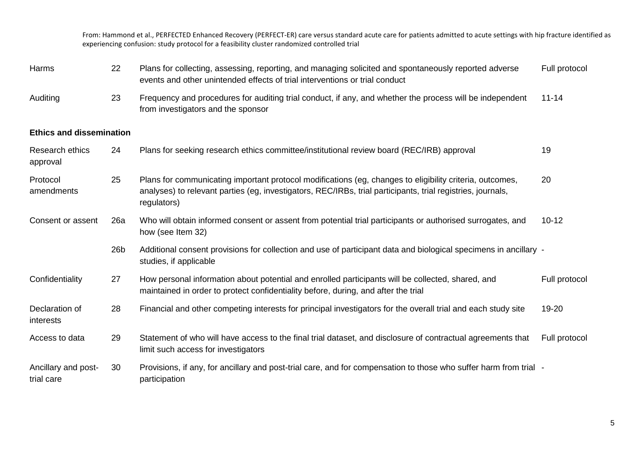| Harms                             | 22              | Plans for collecting, assessing, reporting, and managing solicited and spontaneously reported adverse<br>events and other unintended effects of trial interventions or trial conduct                                                   | Full protocol |
|-----------------------------------|-----------------|----------------------------------------------------------------------------------------------------------------------------------------------------------------------------------------------------------------------------------------|---------------|
| Auditing                          | 23              | Frequency and procedures for auditing trial conduct, if any, and whether the process will be independent<br>from investigators and the sponsor                                                                                         | $11 - 14$     |
| <b>Ethics and dissemination</b>   |                 |                                                                                                                                                                                                                                        |               |
| Research ethics<br>approval       | 24              | Plans for seeking research ethics committee/institutional review board (REC/IRB) approval                                                                                                                                              | 19            |
| Protocol<br>amendments            | 25              | Plans for communicating important protocol modifications (eg, changes to eligibility criteria, outcomes,<br>analyses) to relevant parties (eg, investigators, REC/IRBs, trial participants, trial registries, journals,<br>regulators) | 20            |
| Consent or assent                 | 26a             | Who will obtain informed consent or assent from potential trial participants or authorised surrogates, and<br>how (see Item 32)                                                                                                        | $10 - 12$     |
|                                   | 26 <sub>b</sub> | Additional consent provisions for collection and use of participant data and biological specimens in ancillary -<br>studies, if applicable                                                                                             |               |
| Confidentiality                   | 27              | How personal information about potential and enrolled participants will be collected, shared, and<br>maintained in order to protect confidentiality before, during, and after the trial                                                | Full protocol |
| Declaration of<br>interests       | 28              | Financial and other competing interests for principal investigators for the overall trial and each study site                                                                                                                          | 19-20         |
| Access to data                    | 29              | Statement of who will have access to the final trial dataset, and disclosure of contractual agreements that<br>limit such access for investigators                                                                                     | Full protocol |
| Ancillary and post-<br>trial care | 30              | Provisions, if any, for ancillary and post-trial care, and for compensation to those who suffer harm from trial -<br>participation                                                                                                     |               |